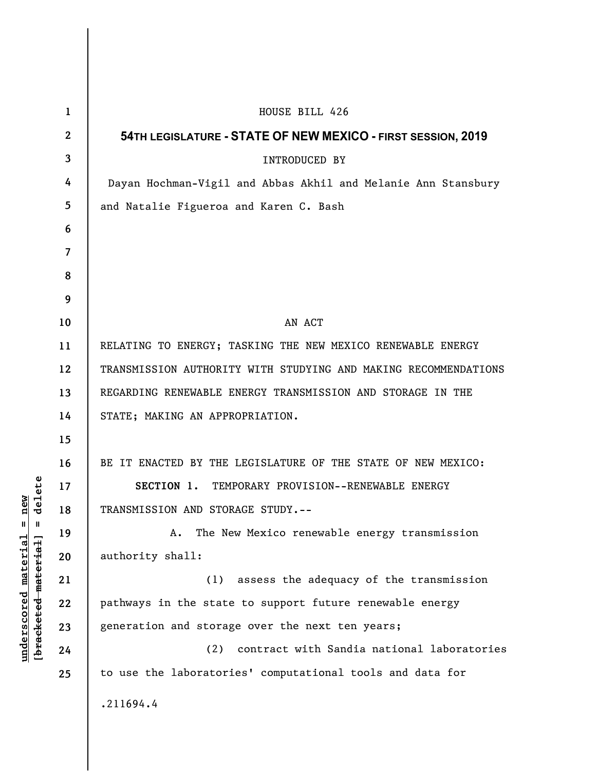| $\mathbf{1}$   | HOUSE BILL 426                                                  |
|----------------|-----------------------------------------------------------------|
| $\mathbf{2}$   | 54TH LEGISLATURE - STATE OF NEW MEXICO - FIRST SESSION, 2019    |
| 3              | <b>INTRODUCED BY</b>                                            |
| 4              | Dayan Hochman-Vigil and Abbas Akhil and Melanie Ann Stansbury   |
| 5              | and Natalie Figueroa and Karen C. Bash                          |
| 6              |                                                                 |
| $\overline{7}$ |                                                                 |
| 8              |                                                                 |
| 9              |                                                                 |
| 10             | AN ACT                                                          |
| 11             | RELATING TO ENERGY; TASKING THE NEW MEXICO RENEWABLE ENERGY     |
| 12             | TRANSMISSION AUTHORITY WITH STUDYING AND MAKING RECOMMENDATIONS |
| 13             | REGARDING RENEWABLE ENERGY TRANSMISSION AND STORAGE IN THE      |
| 14             | STATE; MAKING AN APPROPRIATION.                                 |
| 15             |                                                                 |
| 16             | BE IT ENACTED BY THE LEGISLATURE OF THE STATE OF NEW MEXICO:    |
| 17             | SECTION 1. TEMPORARY PROVISION--RENEWABLE ENERGY                |
| 18             | TRANSMISSION AND STORAGE STUDY.--                               |
| 19             | The New Mexico renewable energy transmission<br>Α.              |
| 20             | authority shall:                                                |
| 21             | (1) assess the adequacy of the transmission                     |
| 22             | pathways in the state to support future renewable energy        |
| 23             | generation and storage over the next ten years;                 |
| 24             | (2)<br>contract with Sandia national laboratories               |
| 25             | to use the laboratories' computational tools and data for       |
|                | .211694.4                                                       |

**underscored material = new [bracketed material] = delete**

 $[**bracket eted metert et**] = **del et e**$  $underscored material = new$ 

 $\overline{\phantom{a}}$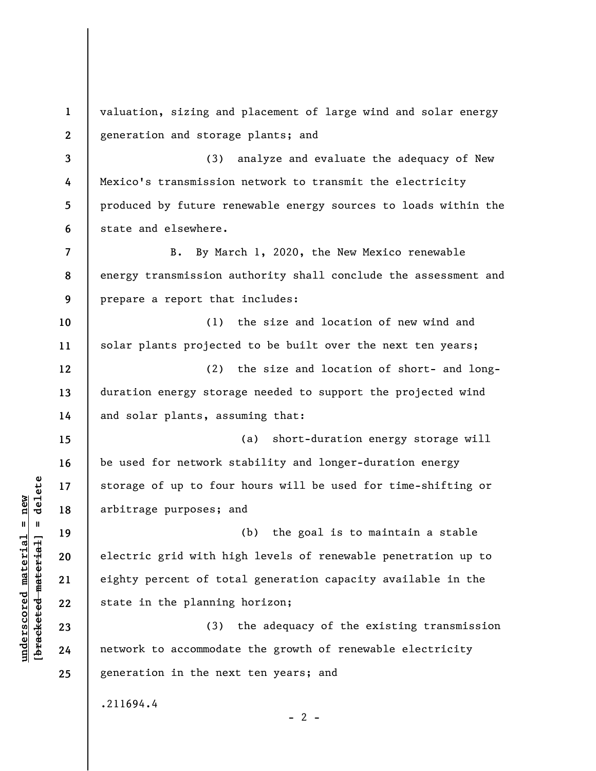**1 2 3 4 5 6 7 8 9 10 11 12 13 14 15 16 17 18 19 20 21 22 23 24 25**  valuation, sizing and placement of large wind and solar energy generation and storage plants; and (3) analyze and evaluate the adequacy of New Mexico's transmission network to transmit the electricity produced by future renewable energy sources to loads within the state and elsewhere. B. By March 1, 2020, the New Mexico renewable energy transmission authority shall conclude the assessment and prepare a report that includes: (1) the size and location of new wind and solar plants projected to be built over the next ten years; (2) the size and location of short- and longduration energy storage needed to support the projected wind and solar plants, assuming that: (a) short-duration energy storage will be used for network stability and longer-duration energy storage of up to four hours will be used for time-shifting or arbitrage purposes; and (b) the goal is to maintain a stable electric grid with high levels of renewable penetration up to eighty percent of total generation capacity available in the state in the planning horizon; (3) the adequacy of the existing transmission network to accommodate the growth of renewable electricity generation in the next ten years; and .211694.4  $- 2 -$ 

 $\frac{1}{2}$  of  $\frac{1}{2}$  and  $\frac{1}{2}$  and  $\frac{1}{2}$  and  $\frac{1}{2}$  and  $\frac{1}{2}$  and  $\frac{1}{2}$  and  $\frac{1}{2}$  and  $\frac{1}{2}$  and  $\frac{1}{2}$  and  $\frac{1}{2}$  and  $\frac{1}{2}$  and  $\frac{1}{2}$  and  $\frac{1}{2}$  and  $\frac{1}{2}$  and  $\frac{1}{2}$  an **[bracketed material] = delete**  $underscored material = new$ **underscored material = new**